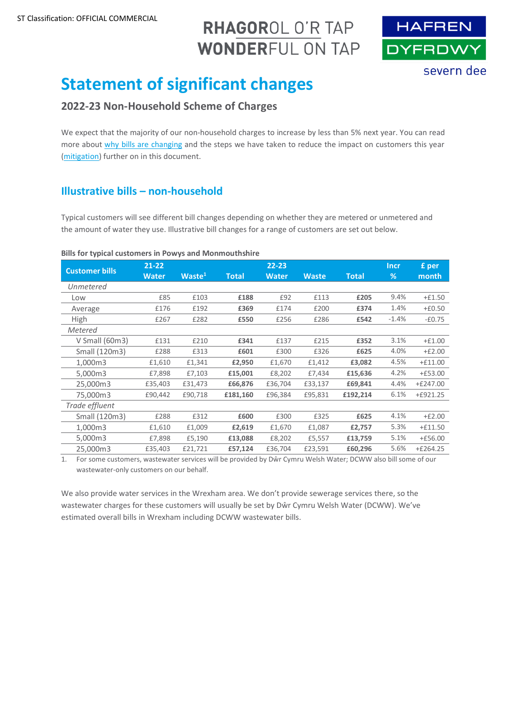# RHAGOROL O'R TAP **WONDERFUL ON TAP**



# **Statement of significant changes**

# **2022-23 Non-Household Scheme of Charges**

We expect that the majority of our non-household charges to increase by less than 5% next year. You can read more about [why bills are changing](#page-1-0) and the steps we have taken to reduce the impact on customers this year [\(mitigation\)](#page-2-0) further on in this document.

# **Illustrative bills – non-household**

Typical customers will see different bill changes depending on whether they are metered or unmetered and the amount of water they use. Illustrative bill changes for a range of customers are set out below.

#### **Bills for typical customers in Powys and Monmouthshire**

| <b>Customer bills</b> | $21 - 22$    |                    |              | $22 - 23$    |              |              | <b>Incr</b> | £ per      |
|-----------------------|--------------|--------------------|--------------|--------------|--------------|--------------|-------------|------------|
|                       | <b>Water</b> | Waste <sup>1</sup> | <b>Total</b> | <b>Water</b> | <b>Waste</b> | <b>Total</b> | %           | month      |
| Unmetered             |              |                    |              |              |              |              |             |            |
| Low                   | £85          | £103               | £188         | £92          | £113         | £205         | 9.4%        | $+£1.50$   |
| Average               | £176         | £192               | £369         | £174         | £200         | £374         | 1.4%        | $+£0.50$   |
| <b>High</b>           | £267         | £282               | £550         | £256         | £286         | £542         | $-1.4%$     | $-£0.75$   |
| Metered               |              |                    |              |              |              |              |             |            |
| $V$ Small (60m3)      | £131         | £210               | £341         | £137         | £215         | £352         | 3.1%        | $+£1.00$   |
| Small (120m3)         | £288         | £313               | £601         | £300         | £326         | £625         | 4.0%        | $+£2.00$   |
| 1,000m3               | £1,610       | £1,341             | £2,950       | £1,670       | £1,412       | £3,082       | 4.5%        | $+£11.00$  |
| 5.000m3               | £7,898       | £7,103             | £15,001      | £8,202       | £7,434       | £15,636      | 4.2%        | $+£53.00$  |
| 25,000m3              | £35,403      | £31,473            | £66,876      | £36,704      | £33,137      | £69,841      | 4.4%        | $+£247.00$ |
| 75.000m3              | £90,442      | £90,718            | £181,160     | £96,384      | £95,831      | £192,214     | 6.1%        | $+£921.25$ |
| Trade effluent        |              |                    |              |              |              |              |             |            |
| Small (120m3)         | £288         | £312               | £600         | £300         | £325         | £625         | 4.1%        | $+£2.00$   |
| 1,000m3               | £1,610       | £1,009             | £2,619       | £1,670       | £1,087       | £2,757       | 5.3%        | $+£11.50$  |
| 5,000m3               | £7,898       | £5,190             | £13,088      | £8,202       | £5,557       | £13,759      | 5.1%        | $+£56.00$  |
| 25,000m3              | £35,403      | £21,721            | £57,124      | £36,704      | £23,591      | £60,296      | 5.6%        | $+£264.25$ |

1. For some customers, wastewater services will be provided by Dŵr Cymru Welsh Water; DCWW also bill some of our wastewater-only customers on our behalf.

We also provide water services in the Wrexham area. We don't provide sewerage services there, so the wastewater charges for these customers will usually be set by Dŵr Cymru Welsh Water (DCWW). We've estimated overall bills in Wrexham including DCWW wastewater bills.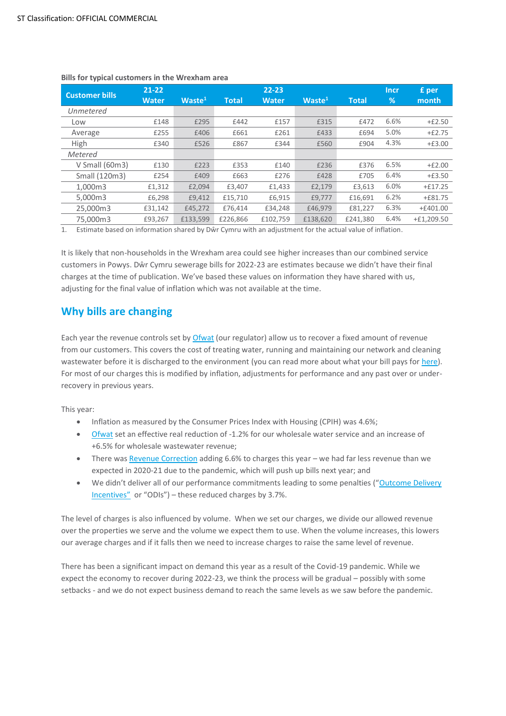| <b>Customer bills</b> | $21 - 22$    |                    |              | $22 - 23$    |                    |              | <b>Incr</b>   | £ per        |
|-----------------------|--------------|--------------------|--------------|--------------|--------------------|--------------|---------------|--------------|
|                       | <b>Water</b> | Waste <sup>1</sup> | <b>Total</b> | <b>Water</b> | Waste <sup>1</sup> | <b>Total</b> | $\frac{9}{6}$ | month        |
| Unmetered             |              |                    |              |              |                    |              |               |              |
| Low                   | £148         | £295               | £442         | £157         | £315               | £472         | 6.6%          | $+£2.50$     |
| Average               | £255         | £406               | £661         | £261         | £433               | £694         | 5.0%          | $+£2.75$     |
| High                  | £340         | £526               | £867         | £344         | £560               | £904         | 4.3%          | $+£3.00$     |
| Metered               |              |                    |              |              |                    |              |               |              |
| $V$ Small (60m3)      | £130         | £223               | £353         | £140         | £236               | £376         | 6.5%          | $+£2.00$     |
| Small (120m3)         | £254         | £409               | £663         | £276         | £428               | £705         | 6.4%          | $+£3.50$     |
| 1.000m3               | £1,312       | £2,094             | £3.407       | £1,433       | £2,179             | £3,613       | 6.0%          | $+£17.25$    |
| 5.000m3               | £6,298       | £9,412             | £15,710      | £6,915       | £9.777             | £16,691      | 6.2%          | $+£81.75$    |
| 25,000m3              | £31.142      | £45,272            | £76.414      | £34.248      | £46.979            | £81.227      | 6.3%          | $+£401.00$   |
| 75,000m3              | £93,267      | £133.599           | £226,866     | £102,759     | £138,620           | £241.380     | 6.4%          | $+£1.209.50$ |

#### <span id="page-1-1"></span>**Bills for typical customers in the Wrexham area**

1. Estimate based on information shared by Dŵr Cymru with an adjustment for the actual value of inflation.

It is likely that non-households in the Wrexham area could see higher increases than our combined service customers in Powys. Dŵr Cymru sewerage bills for 2022-23 are estimates because we didn't have their final charges at the time of publication. We've based these values on information they have shared with us, adjusting for the final value of inflation which was not available at the time.

# <span id="page-1-0"></span>**Why bills are changing**

Each year the revenue controls set by [Ofwat](https://www.ofwat.gov.uk/) (our regulator) allow us to recover a fixed amount of revenue from our customers. This covers the cost of treating water, running and maintaining our network and cleaning wastewater before it is discharged to the environment (you can read more about what your bill pays for [here\)](https://www.hdcymru.co.uk/my-account/our-service-explained/). For most of our charges this is modified by inflation, adjustments for performance and any past over or underrecovery in previous years.

This year:

- Inflation as measured by the Consumer Prices Index with Housing (CPIH) was 4.6%;
- [Ofwat](https://www.ofwat.gov.uk/) set an effective real reduction of -1.2% for our wholesale water service and an increase of +6.5% for wholesale wastewater revenue;
- There was [Revenue Correction](#page-3-0) adding 6.6% to charges this year we had far less revenue than we expected in 2020-21 due to the pandemic, which will push up bills next year; and
- We didn't deliver all of our performance commitments leading to some penalties ("[Outcome Delivery](#page-3-1)  [Incentives](#page-3-1)" or "ODIs") – these reduced charges by 3.7%.

The level of charges is also influenced by volume. When we set our charges, we divide our allowed revenue over the properties we serve and the volume we expect them to use. When the volume increases, this lowers our average charges and if it falls then we need to increase charges to raise the same level of revenue.

There has been a significant impact on demand this year as a result of the Covid-19 pandemic. While we expect the economy to recover during 2022-23, we think the process will be gradual – possibly with some setbacks - and we do not expect business demand to reach the same levels as we saw before the pandemic.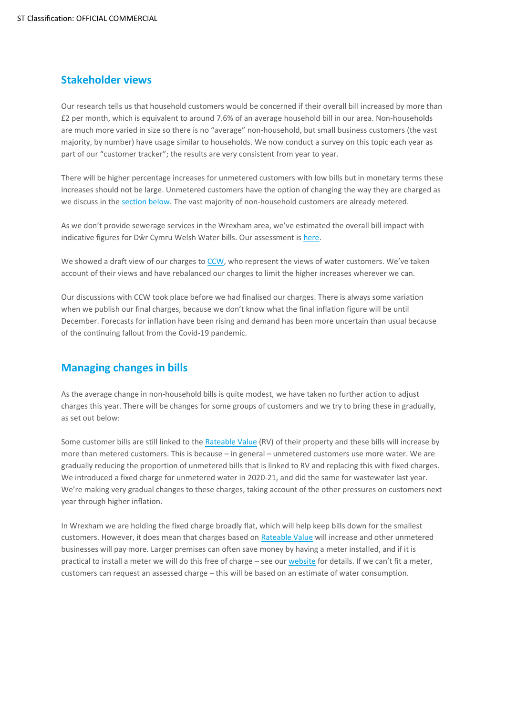### **Stakeholder views**

Our research tells us that household customers would be concerned if their overall bill increased by more than £2 per month, which is equivalent to around 7.6% of an average household bill in our area. Non-households are much more varied in size so there is no "average" non-household, but small business customers (the vast majority, by number) have usage similar to households. We now conduct a survey on this topic each year as part of our "customer tracker"; the results are very consistent from year to year.

There will be higher percentage increases for unmetered customers with low bills but in monetary terms these increases should not be large. Unmetered customers have the option of changing the way they are charged as we discuss in the [section below.](#page-2-0) The vast majority of non-household customers are already metered.

As we don't provide sewerage services in the Wrexham area, we've estimated the overall bill impact with indicative figures for Dŵr Cymru Welsh Water bills. Our assessment is [here.](#page-1-1)

We showed a draft view of our charges to [CCW](https://www.ccwater.org.uk/), who represent the views of water customers. We've taken account of their views and have rebalanced our charges to limit the higher increases wherever we can.

Our discussions with CCW took place before we had finalised our charges. There is always some variation when we publish our final charges, because we don't know what the final inflation figure will be until December. Forecasts for inflation have been rising and demand has been more uncertain than usual because of the continuing fallout from the Covid-19 pandemic.

# <span id="page-2-0"></span>**Managing changes in bills**

As the average change in non-household bills is quite modest, we have taken no further action to adjust charges this year. There will be changes for some groups of customers and we try to bring these in gradually, as set out below:

Some customer bills are still linked to the Rateable Value (RV) of their property and these bills will increase by more than metered customers. This is because – in general – unmetered customers use more water. We are gradually reducing the proportion of unmetered bills that is linked to RV and replacing this with fixed charges. We introduced a fixed charge for unmetered water in 2020-21, and did the same for wastewater last year. We're making very gradual changes to these charges, taking account of the other pressures on customers next year through higher inflation.

In Wrexham we are holding the fixed charge broadly flat, which will help keep bills down for the smallest customers. However, it does mean that charges based on [Rateable Value](#page-3-2) will increase and other unmetered businesses will pay more. Larger premises can often save money by having a meter installed, and if it is practical to install a meter we will do this free of charge – see ou[r website](https://hdcymru.co.uk/my-account/my-water-meter/apply-for-a-water-meter) for details. If we can't fit a meter, customers can request an assessed charge – this will be based on an estimate of water consumption.